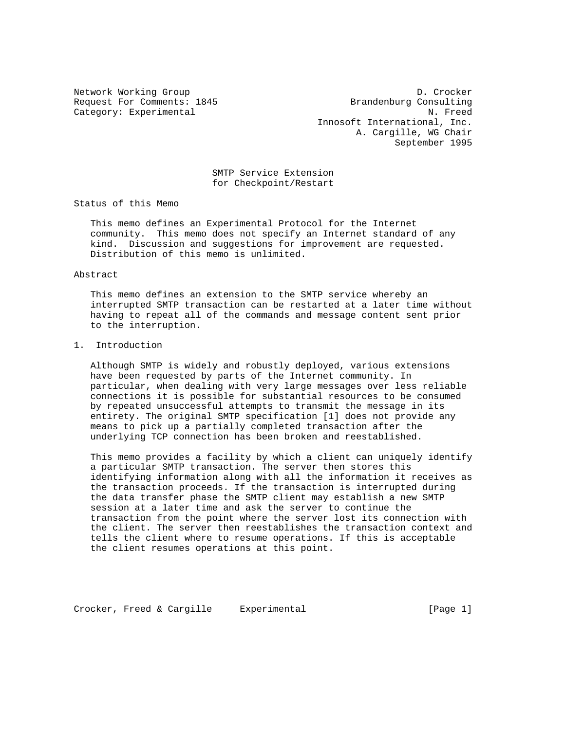Network Working Group D. Crocker Request For Comments: 1845 Brandenburg Consulting Category: Experimental N. Freed Innosoft International, Inc. A. Cargille, WG Chair September 1995

> SMTP Service Extension for Checkpoint/Restart

Status of this Memo

 This memo defines an Experimental Protocol for the Internet community. This memo does not specify an Internet standard of any kind. Discussion and suggestions for improvement are requested. Distribution of this memo is unlimited.

## Abstract

 This memo defines an extension to the SMTP service whereby an interrupted SMTP transaction can be restarted at a later time without having to repeat all of the commands and message content sent prior to the interruption.

## 1. Introduction

 Although SMTP is widely and robustly deployed, various extensions have been requested by parts of the Internet community. In particular, when dealing with very large messages over less reliable connections it is possible for substantial resources to be consumed by repeated unsuccessful attempts to transmit the message in its entirety. The original SMTP specification [1] does not provide any means to pick up a partially completed transaction after the underlying TCP connection has been broken and reestablished.

 This memo provides a facility by which a client can uniquely identify a particular SMTP transaction. The server then stores this identifying information along with all the information it receives as the transaction proceeds. If the transaction is interrupted during the data transfer phase the SMTP client may establish a new SMTP session at a later time and ask the server to continue the transaction from the point where the server lost its connection with the client. The server then reestablishes the transaction context and tells the client where to resume operations. If this is acceptable the client resumes operations at this point.

Crocker, Freed & Cargille Experimental (Page 1)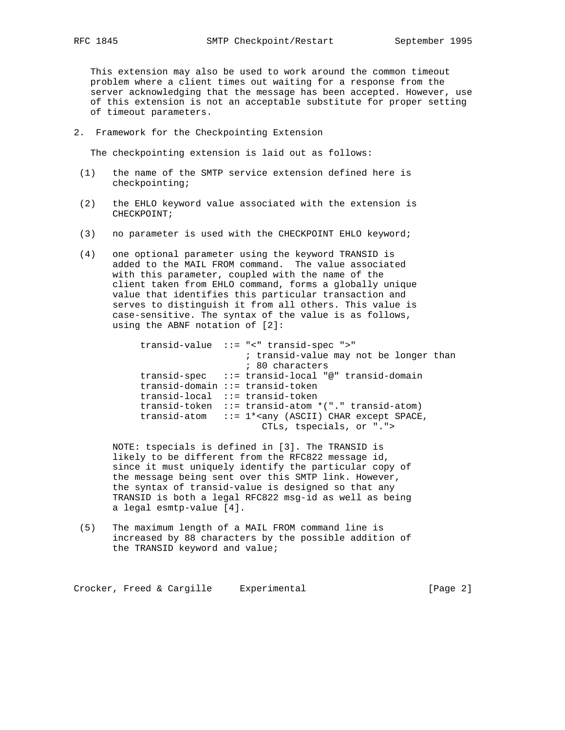This extension may also be used to work around the common timeout problem where a client times out waiting for a response from the server acknowledging that the message has been accepted. However, use of this extension is not an acceptable substitute for proper setting of timeout parameters.

2. Framework for the Checkpointing Extension

The checkpointing extension is laid out as follows:

- (1) the name of the SMTP service extension defined here is checkpointing;
- (2) the EHLO keyword value associated with the extension is CHECKPOINT;
- (3) no parameter is used with the CHECKPOINT EHLO keyword;
- (4) one optional parameter using the keyword TRANSID is added to the MAIL FROM command. The value associated with this parameter, coupled with the name of the client taken from EHLO command, forms a globally unique value that identifies this particular transaction and serves to distinguish it from all others. This value is case-sensitive. The syntax of the value is as follows, using the ABNF notation of [2]:

```
 transid-value ::= "<" transid-spec ">"
                   ; transid-value may not be longer than
                   ; 80 characters
transid-spec ::= transid-local "@" transid-domain
transid-domain ::= transid-token
transid-local ::= transid-token
transid-token ::= transid-atom *("." transid-atom)
transid-atom ::= 1*<any (ASCII) CHAR except SPACE,
                      CTLs, tspecials, or ".">
```
 NOTE: tspecials is defined in [3]. The TRANSID is likely to be different from the RFC822 message id, since it must uniquely identify the particular copy of the message being sent over this SMTP link. However, the syntax of transid-value is designed so that any TRANSID is both a legal RFC822 msg-id as well as being a legal esmtp-value [4].

 (5) The maximum length of a MAIL FROM command line is increased by 88 characters by the possible addition of the TRANSID keyword and value;

Crocker, Freed & Cargille Experimental (Page 2)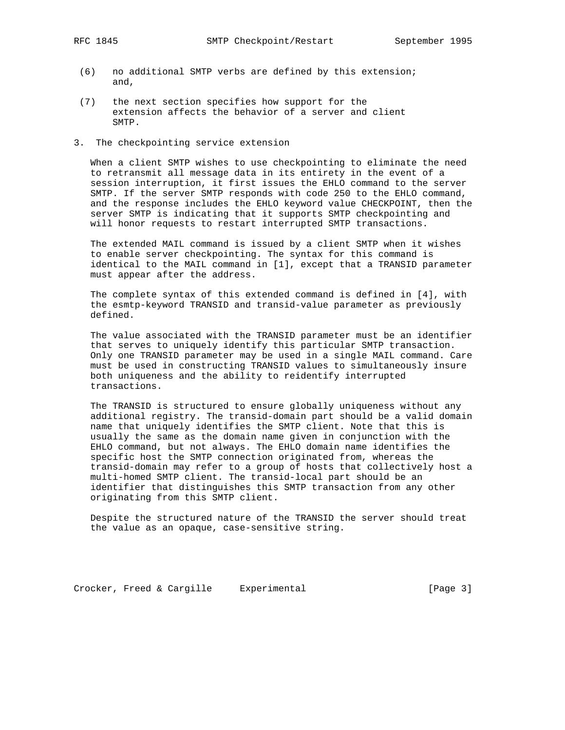- (6) no additional SMTP verbs are defined by this extension; and,
- (7) the next section specifies how support for the extension affects the behavior of a server and client SMTP.
- 3. The checkpointing service extension

 When a client SMTP wishes to use checkpointing to eliminate the need to retransmit all message data in its entirety in the event of a session interruption, it first issues the EHLO command to the server SMTP. If the server SMTP responds with code 250 to the EHLO command, and the response includes the EHLO keyword value CHECKPOINT, then the server SMTP is indicating that it supports SMTP checkpointing and will honor requests to restart interrupted SMTP transactions.

 The extended MAIL command is issued by a client SMTP when it wishes to enable server checkpointing. The syntax for this command is identical to the MAIL command in [1], except that a TRANSID parameter must appear after the address.

 The complete syntax of this extended command is defined in [4], with the esmtp-keyword TRANSID and transid-value parameter as previously defined.

 The value associated with the TRANSID parameter must be an identifier that serves to uniquely identify this particular SMTP transaction. Only one TRANSID parameter may be used in a single MAIL command. Care must be used in constructing TRANSID values to simultaneously insure both uniqueness and the ability to reidentify interrupted transactions.

 The TRANSID is structured to ensure globally uniqueness without any additional registry. The transid-domain part should be a valid domain name that uniquely identifies the SMTP client. Note that this is usually the same as the domain name given in conjunction with the EHLO command, but not always. The EHLO domain name identifies the specific host the SMTP connection originated from, whereas the transid-domain may refer to a group of hosts that collectively host a multi-homed SMTP client. The transid-local part should be an identifier that distinguishes this SMTP transaction from any other originating from this SMTP client.

 Despite the structured nature of the TRANSID the server should treat the value as an opaque, case-sensitive string.

Crocker, Freed & Cargille Experimental (Page 3)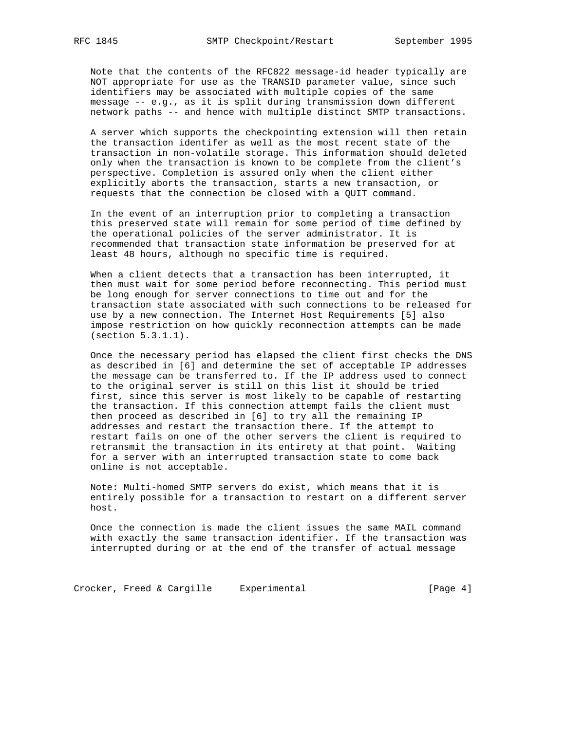Note that the contents of the RFC822 message-id header typically are NOT appropriate for use as the TRANSID parameter value, since such identifiers may be associated with multiple copies of the same message -- e.g., as it is split during transmission down different network paths -- and hence with multiple distinct SMTP transactions.

 A server which supports the checkpointing extension will then retain the transaction identifer as well as the most recent state of the transaction in non-volatile storage. This information should deleted only when the transaction is known to be complete from the client's perspective. Completion is assured only when the client either explicitly aborts the transaction, starts a new transaction, or requests that the connection be closed with a QUIT command.

 In the event of an interruption prior to completing a transaction this preserved state will remain for some period of time defined by the operational policies of the server administrator. It is recommended that transaction state information be preserved for at least 48 hours, although no specific time is required.

 When a client detects that a transaction has been interrupted, it then must wait for some period before reconnecting. This period must be long enough for server connections to time out and for the transaction state associated with such connections to be released for use by a new connection. The Internet Host Requirements [5] also impose restriction on how quickly reconnection attempts can be made (section 5.3.1.1).

 Once the necessary period has elapsed the client first checks the DNS as described in [6] and determine the set of acceptable IP addresses the message can be transferred to. If the IP address used to connect to the original server is still on this list it should be tried first, since this server is most likely to be capable of restarting the transaction. If this connection attempt fails the client must then proceed as described in [6] to try all the remaining IP addresses and restart the transaction there. If the attempt to restart fails on one of the other servers the client is required to retransmit the transaction in its entirety at that point. Waiting for a server with an interrupted transaction state to come back online is not acceptable.

 Note: Multi-homed SMTP servers do exist, which means that it is entirely possible for a transaction to restart on a different server host.

 Once the connection is made the client issues the same MAIL command with exactly the same transaction identifier. If the transaction was interrupted during or at the end of the transfer of actual message

Crocker, Freed & Cargille Experimental Freedom (Page 4)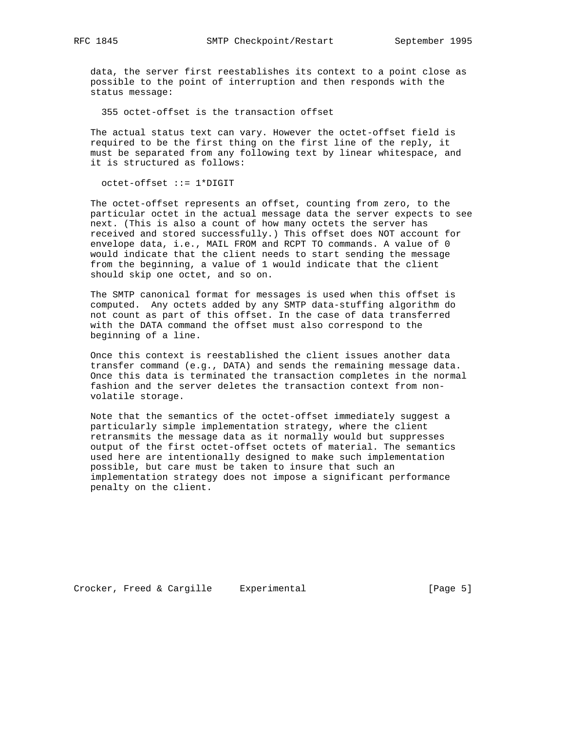data, the server first reestablishes its context to a point close as possible to the point of interruption and then responds with the status message:

355 octet-offset is the transaction offset

 The actual status text can vary. However the octet-offset field is required to be the first thing on the first line of the reply, it must be separated from any following text by linear whitespace, and it is structured as follows:

octet-offset ::= 1\*DIGIT

 The octet-offset represents an offset, counting from zero, to the particular octet in the actual message data the server expects to see next. (This is also a count of how many octets the server has received and stored successfully.) This offset does NOT account for envelope data, i.e., MAIL FROM and RCPT TO commands. A value of 0 would indicate that the client needs to start sending the message from the beginning, a value of 1 would indicate that the client should skip one octet, and so on.

 The SMTP canonical format for messages is used when this offset is computed. Any octets added by any SMTP data-stuffing algorithm do not count as part of this offset. In the case of data transferred with the DATA command the offset must also correspond to the beginning of a line.

 Once this context is reestablished the client issues another data transfer command (e.g., DATA) and sends the remaining message data. Once this data is terminated the transaction completes in the normal fashion and the server deletes the transaction context from non volatile storage.

 Note that the semantics of the octet-offset immediately suggest a particularly simple implementation strategy, where the client retransmits the message data as it normally would but suppresses output of the first octet-offset octets of material. The semantics used here are intentionally designed to make such implementation possible, but care must be taken to insure that such an implementation strategy does not impose a significant performance penalty on the client.

Crocker, Freed & Cargille Experimental [Page 5]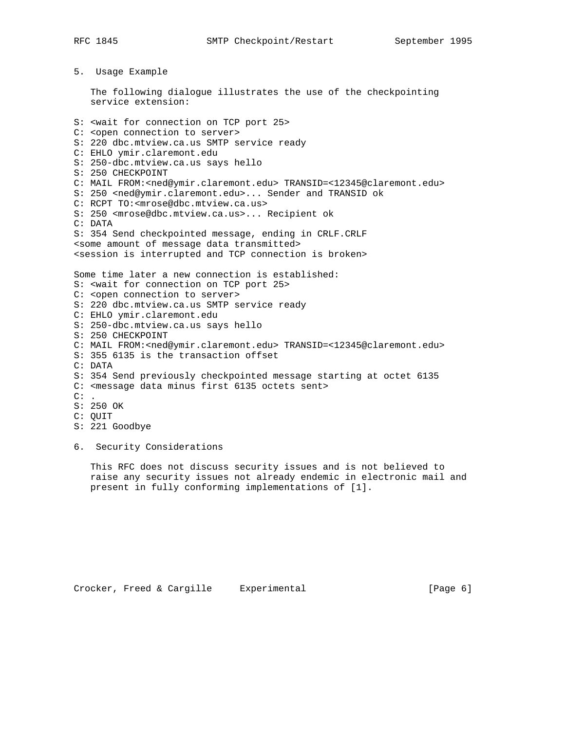5. Usage Example

 The following dialogue illustrates the use of the checkpointing service extension:

S: <wait for connection on TCP port 25> C: <open connection to server> S: 220 dbc.mtview.ca.us SMTP service ready C: EHLO ymir.claremont.edu S: 250-dbc.mtview.ca.us says hello S: 250 CHECKPOINT C: MAIL FROM:<ned@ymir.claremont.edu> TRANSID=<12345@claremont.edu> S: 250 <ned@ymir.claremont.edu>... Sender and TRANSID ok C: RCPT TO:<mrose@dbc.mtview.ca.us> S: 250 <mrose@dbc.mtview.ca.us>... Recipient ok C: DATA S: 354 Send checkpointed message, ending in CRLF.CRLF <some amount of message data transmitted> <session is interrupted and TCP connection is broken> Some time later a new connection is established: S: <wait for connection on TCP port 25> C: <open connection to server> S: 220 dbc.mtview.ca.us SMTP service ready C: EHLO ymir.claremont.edu S: 250-dbc.mtview.ca.us says hello S: 250 CHECKPOINT C: MAIL FROM:<ned@ymir.claremont.edu> TRANSID=<12345@claremont.edu> S: 355 6135 is the transaction offset C: DATA S: 354 Send previously checkpointed message starting at octet 6135 C: <message data minus first 6135 octets sent>  $C:$  . S: 250 OK C: QUIT S: 221 Goodbye

6. Security Considerations

 This RFC does not discuss security issues and is not believed to raise any security issues not already endemic in electronic mail and present in fully conforming implementations of [1].